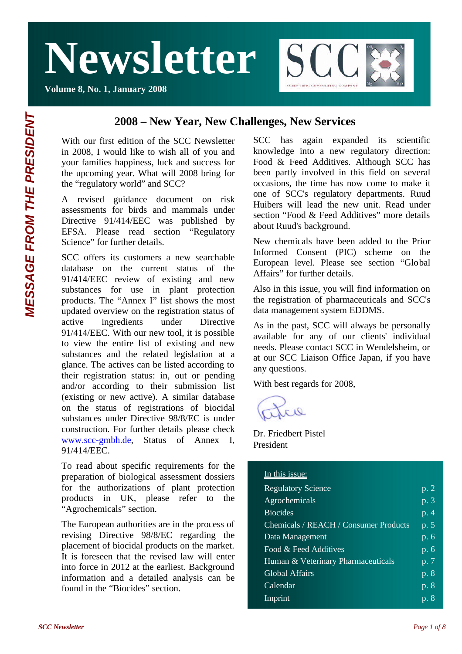**Volume 8, No. 1, January 2008**



### **2008 – New Year, New Challenges, New Services**

With our first edition of the SCC Newsletter in 2008, I would like to wish all of you and your families happiness, luck and success for the upcoming year. What will 2008 bring for the "regulatory world" and SCC?

A revised guidance document on risk assessments for birds and mammals under Directive 91/414/EEC was published by EFSA. Please read section "Regulatory Science" for further details.

SCC offers its customers a new searchable database on the current status of the 91/414/EEC review of existing and new substances for use in plant protection products. The "Annex I" list shows the most updated overview on the registration status of active ingredients under Directive 91/414/EEC. With our new tool, it is possible to view the entire list of existing and new substances and the related legislation at a glance. The actives can be listed according to their registration status: in, out or pending and/or according to their submission list (existing or new active). A similar database on the status of registrations of biocidal substances under Directive 98/8/EC is under construction. For further details please check www.scc-gmbh.de, Status of Annex I, 91/414/EEC.

To read about specific requirements for the preparation of biological assessment dossiers for the authorizations of plant protection products in UK, please refer to the "Agrochemicals" section.

The European authorities are in the process of revising Directive 98/8/EC regarding the placement of biocidal products on the market. It is foreseen that the revised law will enter into force in 2012 at the earliest. Background information and a detailed analysis can be found in the "Biocides" section.

SCC has again expanded its scientific knowledge into a new regulatory direction: Food & Feed Additives. Although SCC has been partly involved in this field on several occasions, the time has now come to make it one of SCC's regulatory departments. Ruud Huibers will lead the new unit. Read under section "Food & Feed Additives" more details about Ruud's background.

New chemicals have been added to the Prior Informed Consent (PIC) scheme on the European level. Please see section "Global Affairs" for further details.

Also in this issue, you will find information on the registration of pharmaceuticals and SCC's data management system EDDMS.

As in the past, SCC will always be personally available for any of our clients' individual needs. Please contact SCC in Wendelsheim, or at our SCC Liaison Office Japan, if you have any questions.

With best regards for 2008,

 $213$ 

Dr. Friedbert Pistel President

#### In this issue:

| <b>Regulatory Science</b>             | p. 2               |
|---------------------------------------|--------------------|
| Agrochemicals                         | p. 3               |
| <b>Biocides</b>                       | $\overline{p.4}$   |
| Chemicals / REACH / Consumer Products | p. 5               |
| Data Management                       | p.6                |
| Food & Feed Additives                 | $\overline{p}$ . 6 |
| Human & Veterinary Pharmaceuticals    | $\overline{p}$ . 7 |
| <b>Global Affairs</b>                 | $\overline{p}$ . 8 |
| Calendar                              | p. 8               |
| Imprint                               | p.8                |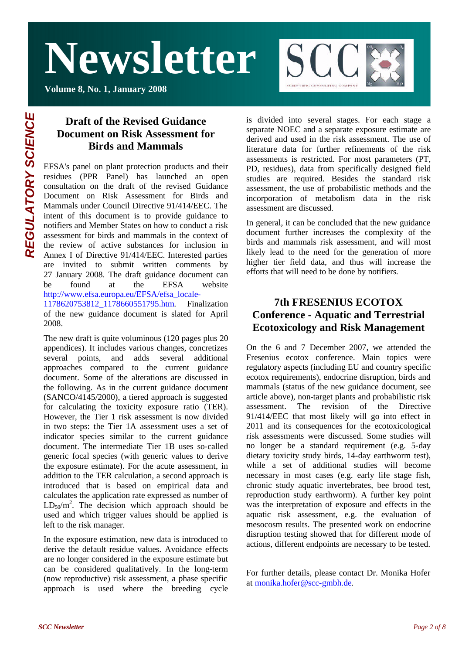**Volume 8, No. 1, January 2008**



### **Draft of the Revised Guidance Document on Risk Assessment for Birds and Mammals**

EFSA's panel on plant protection products and their residues (PPR Panel) has launched an open consultation on the draft of the revised Guidance Document on Risk Assessment for Birds and Mammals under Council Directive 91/414/EEC. The intent of this document is to provide guidance to notifiers and Member States on how to conduct a risk assessment for birds and mammals in the context of the review of active substances for inclusion in Annex I of Directive 91/414/EEC. Interested parties are invited to submit written comments by 27 January 2008. The draft guidance document can be found at the EFSA website http://www.efsa.europa.eu/EFSA/efsa\_locale-1178620753812\_1178660551795.htm. Finalization of the new guidance document is slated for April 2008.

The new draft is quite voluminous (120 pages plus 20 appendices). It includes various changes, concretizes several points, and adds several additional approaches compared to the current guidance document. Some of the alterations are discussed in the following. As in the current guidance document (SANCO/4145/2000), a tiered approach is suggested for calculating the toxicity exposure ratio (TER). However, the Tier 1 risk assessment is now divided in two steps: the Tier 1A assessment uses a set of indicator species similar to the current guidance document. The intermediate Tier 1B uses so-called generic focal species (with generic values to derive the exposure estimate). For the acute assessment, in addition to the TER calculation, a second approach is introduced that is based on empirical data and calculates the application rate expressed as number of  $LD_{50}/m^2$ . The decision which approach should be used and which trigger values should be applied is left to the risk manager.

In the exposure estimation, new data is introduced to derive the default residue values. Avoidance effects are no longer considered in the exposure estimate but can be considered qualitatively. In the long-term (now reproductive) risk assessment, a phase specific approach is used where the breeding cycle is divided into several stages. For each stage a separate NOEC and a separate exposure estimate are derived and used in the risk assessment. The use of literature data for further refinements of the risk assessments is restricted. For most parameters (PT, PD, residues), data from specifically designed field studies are required. Besides the standard risk assessment, the use of probabilistic methods and the incorporation of metabolism data in the risk assessment are discussed.

In general, it can be concluded that the new guidance document further increases the complexity of the birds and mammals risk assessment, and will most likely lead to the need for the generation of more higher tier field data, and thus will increase the efforts that will need to be done by notifiers.

### **7th FRESENIUS ECOTOX Conference - Aquatic and Terrestrial Ecotoxicology and Risk Management**

On the 6 and 7 December 2007, we attended the Fresenius ecotox conference. Main topics were regulatory aspects (including EU and country specific ecotox requirements), endocrine disruption, birds and mammals (status of the new guidance document, see article above), non-target plants and probabilistic risk assessment. The revision of the Directive 91/414/EEC that most likely will go into effect in 2011 and its consequences for the ecotoxicological risk assessments were discussed. Some studies will no longer be a standard requirement (e.g. 5-day dietary toxicity study birds, 14-day earthworm test), while a set of additional studies will become necessary in most cases (e.g. early life stage fish, chronic study aquatic invertebrates, bee brood test, reproduction study earthworm). A further key point was the interpretation of exposure and effects in the aquatic risk assessment, e.g. the evaluation of mesocosm results. The presented work on endocrine disruption testing showed that for different mode of actions, different endpoints are necessary to be tested.

For further details, please contact Dr. Monika Hofer at monika.hofer@scc-gmbh.de.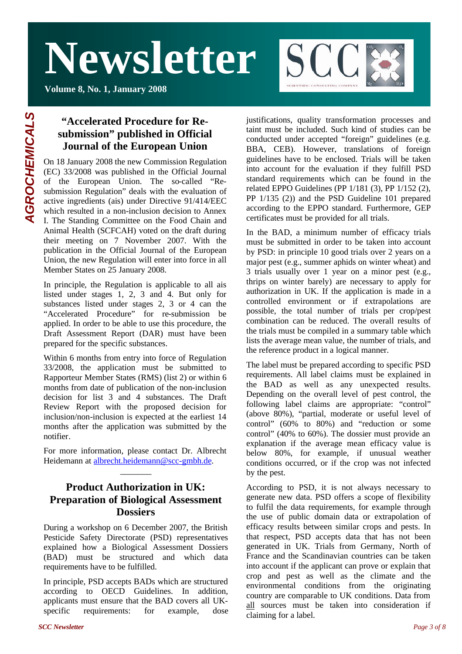**Volume 8, No. 1, January 2008**



### **"Accelerated Procedure for Resubmission" published in Official Journal of the European Union**

On 18 January 2008 the new Commission Regulation (EC) 33/2008 was published in the Official Journal of the European Union. The so-called "Resubmission Regulation" deals with the evaluation of active ingredients (ais) under Directive 91/414/EEC which resulted in a non-inclusion decision to Annex I. The Standing Committee on the Food Chain and Animal Health (SCFCAH) voted on the draft during their meeting on 7 November 2007. With the publication in the Official Journal of the European Union, the new Regulation will enter into force in all Member States on 25 January 2008.

In principle, the Regulation is applicable to all ais listed under stages 1, 2, 3 and 4. But only for substances listed under stages 2, 3 or 4 can the "Accelerated Procedure" for re-submission be applied. In order to be able to use this procedure, the Draft Assessment Report (DAR) must have been prepared for the specific substances.

Within 6 months from entry into force of Regulation 33/2008, the application must be submitted to Rapporteur Member States (RMS) (list 2) or within 6 months from date of publication of the non-inclusion decision for list 3 and 4 substances. The Draft Review Report with the proposed decision for inclusion/non-inclusion is expected at the earliest 14 months after the application was submitted by the notifier.

For more information, please contact Dr. Albrecht Heidemann at albrecht.heidemann@scc-gmbh.de.  $\overline{\phantom{a}}$ 

### **Product Authorization in UK: Preparation of Biological Assessment Dossiers**

During a workshop on 6 December 2007, the British Pesticide Safety Directorate (PSD) representatives explained how a Biological Assessment Dossiers (BAD) must be structured and which data requirements have to be fulfilled.

In principle, PSD accepts BADs which are structured according to OECD Guidelines. In addition, applicants must ensure that the BAD covers all UKspecific requirements: for example, dose justifications, quality transformation processes and taint must be included. Such kind of studies can be conducted under accepted "foreign" guidelines (e.g. BBA, CEB). However, translations of foreign guidelines have to be enclosed. Trials will be taken into account for the evaluation if they fulfill PSD standard requirements which can be found in the related EPPO Guidelines (PP 1/181 (3), PP 1/152 (2), PP 1/135 (2)) and the PSD Guideline 101 prepared according to the EPPO standard. Furthermore, GEP certificates must be provided for all trials.

In the BAD, a minimum number of efficacy trials must be submitted in order to be taken into account by PSD: in principle 10 good trials over 2 years on a major pest (e.g., summer aphids on winter wheat) and 3 trials usually over 1 year on a minor pest (e.g., thrips on winter barely) are necessary to apply for authorization in UK. If the application is made in a controlled environment or if extrapolations are possible, the total number of trials per crop/pest combination can be reduced. The overall results of the trials must be compiled in a summary table which lists the average mean value, the number of trials, and the reference product in a logical manner.

The label must be prepared according to specific PSD requirements. All label claims must be explained in the BAD as well as any unexpected results. Depending on the overall level of pest control, the following label claims are appropriate: "control" (above 80%), "partial, moderate or useful level of control" (60% to 80%) and "reduction or some control" (40% to 60%). The dossier must provide an explanation if the average mean efficacy value is below 80%, for example, if unusual weather conditions occurred, or if the crop was not infected by the pest.

According to PSD, it is not always necessary to generate new data. PSD offers a scope of flexibility to fulfil the data requirements, for example through the use of public domain data or extrapolation of efficacy results between similar crops and pests. In that respect, PSD accepts data that has not been generated in UK. Trials from Germany, North of France and the Scandinavian countries can be taken into account if the applicant can prove or explain that crop and pest as well as the climate and the environmental conditions from the originating country are comparable to UK conditions. Data from all sources must be taken into consideration if claiming for a label.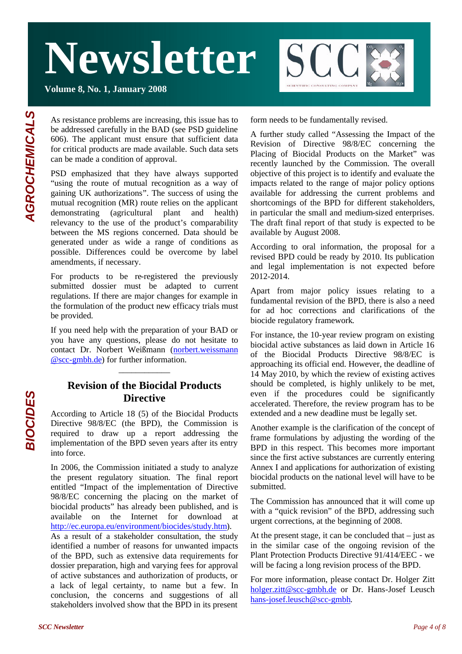**Volume 8, No. 1, January 2008**



As resistance problems are increasing, this issue has to be addressed carefully in the BAD (see PSD guideline 606). The applicant must ensure that sufficient data for critical products are made available. Such data sets can be made a condition of approval.

PSD emphasized that they have always supported "using the route of mutual recognition as a way of gaining UK authorizations". The success of using the mutual recognition (MR) route relies on the applicant demonstrating (agricultural plant and health) relevancy to the use of the product's comparability between the MS regions concerned. Data should be generated under as wide a range of conditions as possible. Differences could be overcome by label amendments, if necessary.

For products to be re-registered the previously submitted dossier must be adapted to current regulations. If there are major changes for example in the formulation of the product new efficacy trials must be provided.

If you need help with the preparation of your BAD or you have any questions, please do not hesitate to contact Dr. Norbert Weißmann (norbert.weissmann @scc-gmbh.de) for further information.

### **Revision of the Biocidal Products Directive**

\_\_\_\_\_\_\_\_\_\_\_\_

According to Article 18 (5) of the Biocidal Products Directive 98/8/EC (the BPD), the Commission is required to draw up a report addressing the implementation of the BPD seven years after its entry into force.

In 2006, the Commission initiated a study to analyze the present regulatory situation. The final report entitled "Impact of the implementation of Directive 98/8/EC concerning the placing on the market of biocidal products" has already been published, and is available on the Internet for download at http://ec.europa.eu/environment/biocides/study.htm).

As a result of a stakeholder consultation, the study identified a number of reasons for unwanted impacts of the BPD, such as extensive data requirements for dossier preparation, high and varying fees for approval of active substances and authorization of products, or a lack of legal certainty, to name but a few. In conclusion, the concerns and suggestions of all stakeholders involved show that the BPD in its present

form needs to be fundamentally revised.

A further study called "Assessing the Impact of the Revision of Directive 98/8/EC concerning the Placing of Biocidal Products on the Market" was recently launched by the Commission. The overall objective of this project is to identify and evaluate the impacts related to the range of major policy options available for addressing the current problems and shortcomings of the BPD for different stakeholders, in particular the small and medium-sized enterprises. The draft final report of that study is expected to be available by August 2008.

According to oral information, the proposal for a revised BPD could be ready by 2010. Its publication and legal implementation is not expected before 2012-2014.

Apart from major policy issues relating to a fundamental revision of the BPD, there is also a need for ad hoc corrections and clarifications of the biocide regulatory framework.

For instance, the 10-year review program on existing biocidal active substances as laid down in Article 16 of the Biocidal Products Directive 98/8/EC is approaching its official end. However, the deadline of 14 May 2010, by which the review of existing actives should be completed, is highly unlikely to be met, even if the procedures could be significantly accelerated. Therefore, the review program has to be extended and a new deadline must be legally set.

Another example is the clarification of the concept of frame formulations by adjusting the wording of the BPD in this respect. This becomes more important since the first active substances are currently entering Annex I and applications for authorization of existing biocidal products on the national level will have to be submitted.

The Commission has announced that it will come up with a "quick revision" of the BPD, addressing such urgent corrections, at the beginning of 2008.

At the present stage, it can be concluded that  $-$  just as in the similar case of the ongoing revision of the Plant Protection Products Directive 91/414/EEC - we will be facing a long revision process of the BPD.

For more information, please contact Dr. Holger Zitt holger.zitt@scc-gmbh.de or Dr. Hans-Josef Leusch hans-josef.leusch@scc-gmbh.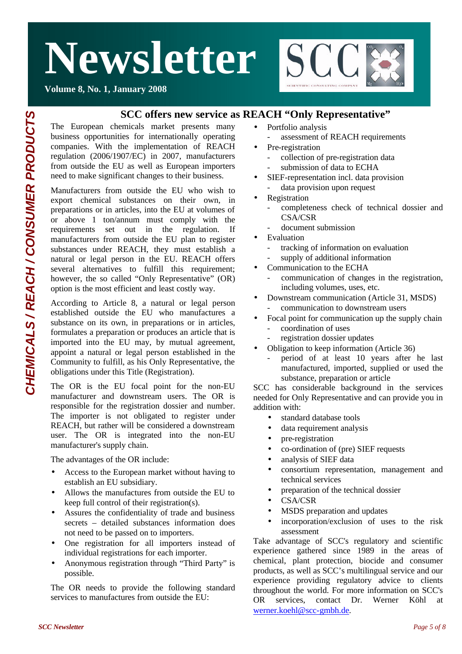

**Volume 8, No. 1, January 2008**

### **SCC offers new service as REACH "Only Representative"**

The European chemicals market presents many business opportunities for internationally operating companies. With the implementation of REACH regulation (2006/1907/EC) in 2007, manufacturers from outside the EU as well as European importers need to make significant changes to their business.

Manufacturers from outside the EU who wish to export chemical substances on their own, in preparations or in articles, into the EU at volumes of or above 1 ton/annum must comply with the requirements set out in the regulation. If manufacturers from outside the EU plan to register substances under REACH, they must establish a natural or legal person in the EU. REACH offers several alternatives to fulfill this requirement: however, the so called "Only Representative" (OR) option is the most efficient and least costly way.

According to Article 8, a natural or legal person established outside the EU who manufactures a substance on its own, in preparations or in articles, formulates a preparation or produces an article that is imported into the EU may, by mutual agreement, appoint a natural or legal person established in the Community to fulfill, as his Only Representative, the obligations under this Title (Registration).

The OR is the EU focal point for the non-EU manufacturer and downstream users. The OR is responsible for the registration dossier and number. The importer is not obligated to register under REACH, but rather will be considered a downstream user. The OR is integrated into the non-EU manufacturer's supply chain.

The advantages of the OR include:

- Access to the European market without having to establish an EU subsidiary.
- Allows the manufactures from outside the EU to keep full control of their registration(s).
- Assures the confidentiality of trade and business secrets – detailed substances information does not need to be passed on to importers.
- One registration for all importers instead of individual registrations for each importer.
- Anonymous registration through "Third Party" is possible.

The OR needs to provide the following standard services to manufactures from outside the EU:

- Portfolio analysis
	- assessment of REACH requirements
- Pre-registration
	- collection of pre-registration data submission of data to ECHA
- SIEF-representation incl. data provision data provision upon request
- **Registration** 
	- completeness check of technical dossier and CSA/CSR
	- document submission
- **Evaluation** 
	- tracking of information on evaluation
	- supply of additional information
	- Communication to the ECHA - communication of changes in the registration, including volumes, uses, etc.
- Downstream communication (Article 31, MSDS) communication to downstream users
- Focal point for communication up the supply chain
	- coordination of uses
	- registration dossier updates
- Obligation to keep information (Article 36)
	- period of at least 10 years after he last manufactured, imported, supplied or used the substance, preparation or article

SCC has considerable background in the services needed for Only Representative and can provide you in addition with:

- standard database tools
- data requirement analysis
- pre-registration
- co-ordination of (pre) SIEF requests
- analysis of SIEF data
- consortium representation, management and technical services
- preparation of the technical dossier
- CSA/CSR
- MSDS preparation and updates
- incorporation/exclusion of uses to the risk assessment

Take advantage of SCC's regulatory and scientific experience gathered since 1989 in the areas of chemical, plant protection, biocide and consumer products, as well as SCC's multilingual service and our experience providing regulatory advice to clients throughout the world. For more information on SCC's OR services, contact Dr. Werner Köhl at werner.koehl@scc-gmbh.de.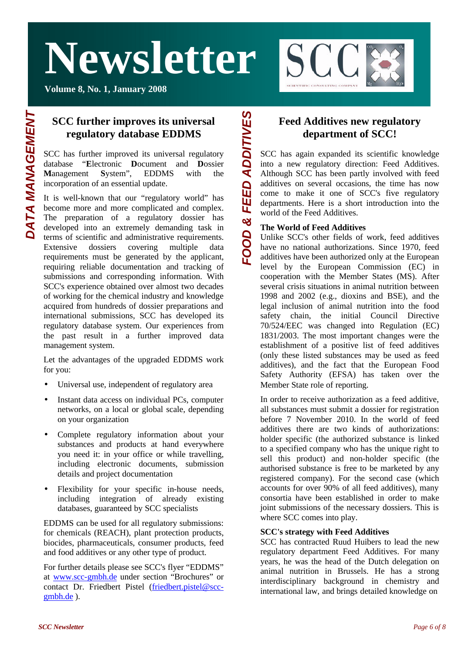**Volume 8, No. 1, January 2008**



### **SCC further improves its universal regulatory database EDDMS**

SCC has further improved its universal regulatory database "**E**lectronic **D**ocument and **D**ossier **M**anagement **S**ystem", EDDMS with the incorporation of an essential update.

It is well-known that our "regulatory world" has become more and more complicated and complex. The preparation of a regulatory dossier has developed into an extremely demanding task in terms of scientific and administrative requirements. Extensive dossiers covering multiple data requirements must be generated by the applicant, requiring reliable documentation and tracking of submissions and corresponding information. With SCC's experience obtained over almost two decades of working for the chemical industry and knowledge acquired from hundreds of dossier preparations and international submissions, SCC has developed its regulatory database system. Our experiences from the past result in a further improved data management system.

Let the advantages of the upgraded EDDMS work for you:

- Universal use, independent of regulatory area
- Instant data access on individual PCs, computer networks, on a local or global scale, depending on your organization
- Complete regulatory information about your substances and products at hand everywhere you need it: in your office or while travelling, including electronic documents, submission details and project documentation
- Flexibility for your specific in-house needs, including integration of already existing databases, guaranteed by SCC specialists

EDDMS can be used for all regulatory submissions: for chemicals (REACH), plant protection products, biocides, pharmaceuticals, consumer products, feed and food additives or any other type of product.

For further details please see SCC's flyer "EDDMS" at www.scc-gmbh.de under section "Brochures" or contact Dr. Friedbert Pistel (friedbert.pistel@sccgmbh.de ).

### **Feed Additives new regulatory department of SCC!**

SCC has again expanded its scientific knowledge into a new regulatory direction: Feed Additives. Although SCC has been partly involved with feed additives on several occasions, the time has now come to make it one of SCC's five regulatory departments. Here is a short introduction into the world of the Feed Additives. *FOOD & FEED ADDITIVE*

#### **The World of Feed Additives**

**FOOD & FEED ADDITIVES** 

Unlike SCC's other fields of work, feed additives have no national authorizations. Since 1970, feed additives have been authorized only at the European level by the European Commission (EC) in cooperation with the Member States (MS). After several crisis situations in animal nutrition between 1998 and 2002 (e.g., dioxins and BSE), and the legal inclusion of animal nutrition into the food safety chain, the initial Council Directive 70/524/EEC was changed into Regulation (EC) 1831/2003. The most important changes were the establishment of a positive list of feed additives (only these listed substances may be used as feed additives), and the fact that the European Food Safety Authority (EFSA) has taken over the Member State role of reporting.

In order to receive authorization as a feed additive, all substances must submit a dossier for registration before 7 November 2010. In the world of feed additives there are two kinds of authorizations: holder specific (the authorized substance is linked to a specified company who has the unique right to sell this product) and non-holder specific (the authorised substance is free to be marketed by any registered company). For the second case (which accounts for over 90% of all feed additives), many consortia have been established in order to make joint submissions of the necessary dossiers. This is where SCC comes into play.

#### **SCC's strategy with Feed Additives**

SCC has contracted Ruud Huibers to lead the new regulatory department Feed Additives. For many years, he was the head of the Dutch delegation on animal nutrition in Brussels. He has a strong interdisciplinary background in chemistry and international law, and brings detailed knowledge on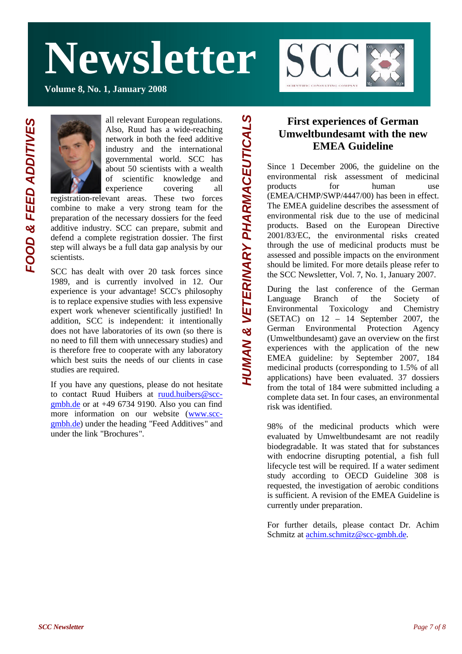**Volume 8, No. 1, January 2008**



all relevant European regulations.

Also, Ruud has a wide-reaching network in both the feed additive industry and the international governmental world. SCC has about 50 scientists with a wealth of scientific knowledge and experience covering all

*HUMAN & VETERINARY PHARMACEUTICALS* 

HUMAN & VETERINARY PHARMACEUTICALS

registration-relevant areas. These two forces combine to make a very strong team for the preparation of the necessary dossiers for the feed additive industry. SCC can prepare, submit and defend a complete registration dossier. The first step will always be a full data gap analysis by our scientists.

SCC has dealt with over 20 task forces since 1989, and is currently involved in 12. Our experience is your advantage! SCC's philosophy is to replace expensive studies with less expensive expert work whenever scientifically justified! In addition, SCC is independent: it intentionally does not have laboratories of its own (so there is no need to fill them with unnecessary studies) and is therefore free to cooperate with any laboratory which best suits the needs of our clients in case studies are required.

If you have any questions, please do not hesitate to contact Ruud Huibers at ruud.huibers@sccgmbh.de or at +49 6734 9190. Also you can find more information on our website (www.sccgmbh.de) under the heading "Feed Additives" and under the link "Brochures".

### **First experiences of German Umweltbundesamt with the new EMEA Guideline**

Since 1 December 2006, the guideline on the environmental risk assessment of medicinal products for human use (EMEA/CHMP/SWP/4447/00) has been in effect. The EMEA guideline describes the assessment of environmental risk due to the use of medicinal products. Based on the European Directive 2001/83/EC, the environmental risks created through the use of medicinal products must be assessed and possible impacts on the environment should be limited. For more details please refer to the SCC Newsletter, Vol. 7, No. 1, January 2007.

During the last conference of the German Language Branch of the Society of Environmental Toxicology and Chemistry (SETAC) on 12 – 14 September 2007, the German Environmental Protection Agency (Umweltbundesamt) gave an overview on the first experiences with the application of the new EMEA guideline: by September 2007, 184 medicinal products (corresponding to 1.5% of all applications) have been evaluated. 37 dossiers from the total of 184 were submitted including a complete data set. In four cases, an environmental risk was identified.

98% of the medicinal products which were evaluated by Umweltbundesamt are not readily biodegradable. It was stated that for substances with endocrine disrupting potential, a fish full lifecycle test will be required. If a water sediment study according to OECD Guideline 308 is requested, the investigation of aerobic conditions is sufficient. A revision of the EMEA Guideline is currently under preparation.

For further details, please contact Dr. Achim Schmitz at achim.schmitz@scc-gmbh.de.